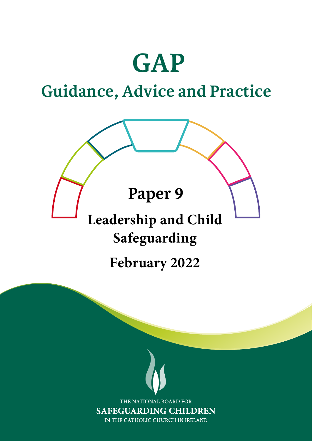# **GAP**

### **Guidance, Advice and Practice**

### **Paper 9**

## **Leadership and Child Safeguarding**

### **February 2022**

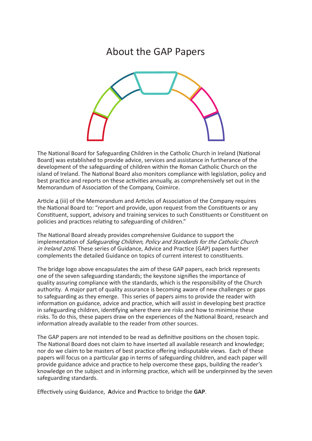### About the GAP Papers



The National Board for Safeguarding Children in the Catholic Church in Ireland (National Board) was established to provide advice, services and assistance in furtherance of the development of the safeguarding of children within the Roman Catholic Church on the island of Ireland. The National Board also monitors compliance with legislation, policy and best practice and reports on these activities annually, as comprehensively set out in the Memorandum of Association of the Company, Coimirce.

Article 4 (iii) of the Memorandum and Articles of Association of the Company requires the National Board to: "report and provide, upon request from the Constituents or any Constituent, support, advisory and training services to such Constituents or Constituent on policies and practices relating to safeguarding of children."

The National Board already provides comprehensive Guidance to support the implementation of Safeguarding Children, Policy and Standards for the Catholic Church in Ireland 2016. These series of Guidance, Advice and Practice (GAP) papers further complements the detailed Guidance on topics of current interest to constituents.

The bridge logo above encapsulates the aim of these GAP papers, each brick represents one of the seven safeguarding standards; the keystone signifies the importance of quality assuring compliance with the standards, which is the responsibility of the Church authority. A major part of quality assurance is becoming aware of new challenges or gaps to safeguarding as they emerge. This series of papers aims to provide the reader with information on guidance, advice and practice, which will assist in developing best practice in safeguarding children, identifying where there are risks and how to minimise these risks. To do this, these papers draw on the experiences of the National Board, research and information already available to the reader from other sources.

The GAP papers are not intended to be read as definitive positions on the chosen topic. The National Board does not claim to have inserted all available research and knowledge; nor do we claim to be masters of best practice offering indisputable views. Each of these papers will focus on a particular gap in terms of safeguarding children, and each paper will provide guidance advice and practice to help overcome these gaps, building the reader's knowledge on the subject and in informing practice, which will be underpinned by the seven safeguarding standards.

Effectively using **G**uidance, **A**dvice and **P**ractice to bridge the **GAP**.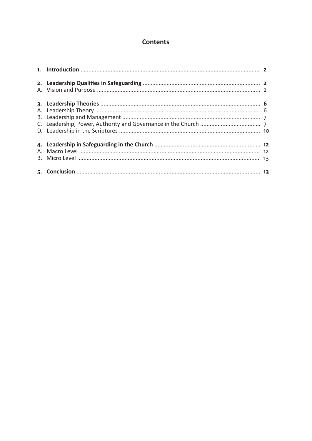#### **Contents**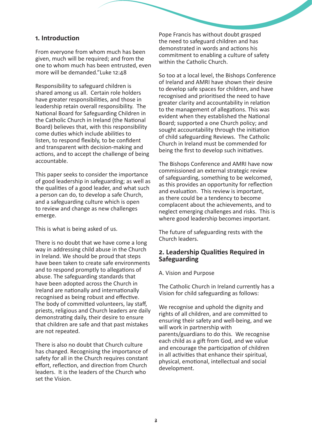#### **1. Introduction**

From everyone from whom much has been given, much will be required; and from the one to whom much has been entrusted, even more will be demanded."Luke 12:48

Responsibility to safeguard children is shared among us all. Certain role holders have greater responsibilities, and those in leadership retain overall responsibility. The National Board for Safeguarding Children in the Catholic Church in Ireland (the National Board) believes that, with this responsibility come duties which include abilities to listen, to respond flexibly, to be confident and transparent with decision-making and actions, and to accept the challenge of being accountable.

This paper seeks to consider the importance of good leadership in safeguarding; as well as the qualities of a good leader, and what such a person can do, to develop a safe Church, and a safeguarding culture which is open to review and change as new challenges emerge.

This is what is being asked of us.

There is no doubt that we have come a long way in addressing child abuse in the Church in Ireland. We should be proud that steps have been taken to create safe environments and to respond promptly to allegations of abuse. The safeguarding standards that have been adopted across the Church in Ireland are nationally and internationally recognised as being robust and effective. The body of committed volunteers, lay staff, priests, religious and Church leaders are daily demonstrating daily, their desire to ensure that children are safe and that past mistakes are not repeated.

There is also no doubt that Church culture has changed. Recognising the importance of safety for all in the Church requires constant effort, reflection, and direction from Church leaders. It is the leaders of the Church who set the Vision.

Pope Francis has without doubt grasped the need to safeguard children and has demonstrated in words and actions his commitment to enabling a culture of safety within the Catholic Church.

So too at a local level, the Bishops Conference of Ireland and AMRI have shown their desire to develop safe spaces for children, and have recognised and prioritised the need to have greater clarity and accountability in relation to the management of allegations. This was evident when they established the National Board; supported a one Church policy; and sought accountability through the initiation of child safeguarding Reviews. The Catholic Church in Ireland must be commended for being the first to develop such initiatives.

The Bishops Conference and AMRI have now commissioned an external strategic review of safeguarding, something to be welcomed, as this provides an opportunity for reflection and evaluation. This review is important, as there could be a tendency to become complacent about the achievements, and to neglect emerging challenges and risks. This is where good leadership becomes important.

The future of safeguarding rests with the Church leaders.

#### **2. Leadership Qualities Required in Safeguarding**

#### A. Vision and Purpose

The Catholic Church in Ireland currently has a Vision for child safeguarding as follows:

We recognise and uphold the dignity and rights of all children, and are committed to ensuring their safety and well-being, and we will work in partnership with parents/guardians to do this. We recognise each child as a gift from God, and we value and encourage the participation of children in all activities that enhance their spiritual, physical, emotional, intellectual and social development.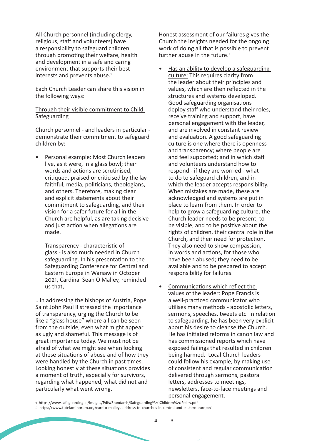All Church personnel (including clergy, religious, staff and volunteers) have a responsibility to safeguard children through promoting their welfare, health and development in a safe and caring environment that supports their best interests and prevents abuse.<sup>1</sup>

Each Church Leader can share this vision in the following ways:

#### Through their visible commitment to Child **Safeguarding**

Church personnel - and leaders in particular demonstrate their commitment to safeguard children by:

• Personal example: Most Church leaders live, as it were, in a glass bowl; their words and actions are scrutinised, critiqued, praised or criticised by the lay faithful, media, politicians, theologians, and others. Therefore, making clear and explicit statements about their commitment to safeguarding, and their vision for a safer future for all in the Church are helpful, as are taking decisive and just action when allegations are made.

Transparency - characteristic of glass - is also much needed in Church safeguarding. In his presentation to the Safeguarding Conference for Central and Eastern Europe in Warsaw in October 2021, Cardinal Sean O Malley, reminded us that,

…in addressing the bishops of Austria, Pope Saint John Paul II stressed the importance of transparency, urging the Church to be like a "glass house" where all can be seen from the outside, even what might appear as ugly and shameful. This message is of great importance today. We must not be afraid of what we might see when looking at these situations of abuse and of how they were handled by the Church in past times. Looking honestly at these situations provides a moment of truth, especially for survivors, regarding what happened, what did not and particularly what went wrong.

Honest assessment of our failures gives the Church the insights needed for the ongoing work of doing all that is possible to prevent further abuse in the future.<sup>2</sup>

- Has an ability to develop a safeguarding culture: This requires clarity from the leader about their principles and values, which are then reflected in the structures and systems developed. Good safeguarding organisations deploy staff who understand their roles, receive training and support, have personal engagement with the leader, and are involved in constant review and evaluation. A good safeguarding culture is one where there is openness and transparency; where people are and feel supported; and in which staff and volunteers understand how to respond - if they are worried - what to do to safeguard children, and in which the leader accepts responsibility. When mistakes are made, these are acknowledged and systems are put in place to learn from them. In order to help to grow a safeguarding culture, the Church leader needs to be present, to be visible, and to be positive about the rights of children, their central role in the Church, and their need for protection. They also need to show compassion, in words and actions, for those who have been abused; they need to be available and to be prepared to accept responsibility for failures.
- Communications which reflect the values of the leader: Pope Francis is a well-practiced communicator who utilises many methods - apostolic letters, sermons, speeches, tweets etc. In relation to safeguarding, he has been very explicit about his desire to cleanse the Church. He has initiated reforms in canon law and has commissioned reports which have exposed failings that resulted in children being harmed. Local Church leaders could follow his example, by making use of consistent and regular communication delivered through sermons, pastoral letters, addresses to meetings, newsletters, face-to-face meetings and personal engagement.

<sup>1</sup> https://www.safeguarding.ie/images/Pdfs/Standards/Safeguarding%20Children%20Policy.pdf

<sup>2</sup> https://www.tutelaminorum.org/card-o-malleys-address-to-churches-in-central-and-eastern-europe/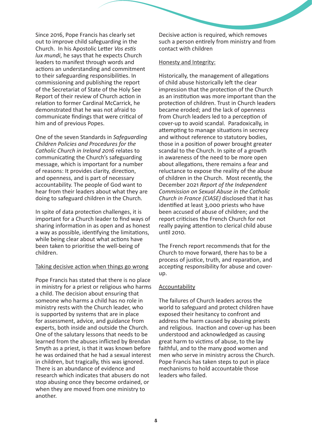Since 2016, Pope Francis has clearly set out to improve child safeguarding in the Church. In his Apostolic Letter *Vos estis lux mundi*, he says that he expects Church leaders to manifest through words and actions an understanding and commitment to their safeguarding responsibilities. In commissioning and publishing the report of the Secretariat of State of the Holy See Report of their review of Church action in relation to former Cardinal McCarrick, he demonstrated that he was not afraid to communicate findings that were critical of him and of previous Popes.

One of the seven Standards in *Safeguarding Children Policies and Procedures for the Catholic Church in Ireland 2016* relates to communicating the Church's safeguarding message, which is important for a number of reasons: It provides clarity, direction, and openness, and is part of necessary accountability. The people of God want to hear from their leaders about what they are doing to safeguard children in the Church.

In spite of data protection challenges, it is important for a Church leader to find ways of sharing information in as open and as honest a way as possible, identifying the limitations, while being clear about what actions have been taken to prioritise the well-being of children.

#### Taking decisive action when things go wrong

Pope Francis has stated that there is no place in ministry for a priest or religious who harms a child. The decision about ensuring that someone who harms a child has no role in ministry rests with the Church leader, who is supported by systems that are in place for assessment, advice, and guidance from experts, both inside and outside the Church. One of the salutary lessons that needs to be learned from the abuses inflicted by Brendan Smyth as a priest, is that it was known before he was ordained that he had a sexual interest in children, but tragically, this was ignored. There is an abundance of evidence and research which indicates that abusers do not stop abusing once they become ordained, or when they are moved from one ministry to another.

Decisive action is required, which removes such a person entirely from ministry and from contact with children

#### Honesty and Integrity:

Historically, the management of allegations of child abuse historically left the clear impression that the protection of the Church as an institution was more important than the protection of children. Trust in Church leaders became eroded; and the lack of openness from Church leaders led to a perception of cover-up to avoid scandal. Paradoxically, in attempting to manage situations in secrecy and without reference to statutory bodies, those in a position of power brought greater scandal to the Church. In spite of a growth in awareness of the need to be more open about allegations, there remains a fear and reluctance to expose the reality of the abuse of children in the Church. Most recently, the December 2021 *Report of the Independent Commission on Sexual Abuse in the Catholic Church in France (CIASE)* disclosed that it has identified at least 3,000 priests who have been accused of abuse of children; and the report criticises the French Church for not really paying attention to clerical child abuse until 2010.

The French report recommends that for the Church to move forward, there has to be a process of justice, truth, and reparation, and accepting responsibility for abuse and coverup.

#### Accountability

The failures of Church leaders across the world to safeguard and protect children have exposed their hesitancy to confront and address the harm caused by abusing priests and religious. Inaction and cover-up has been understood and acknowledged as causing great harm to victims of abuse, to the lay faithful, and to the many good women and men who serve in ministry across the Church. Pope Francis has taken steps to put in place mechanisms to hold accountable those leaders who failed.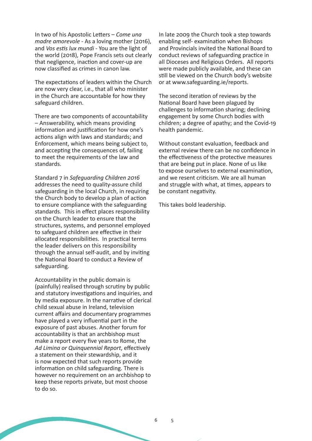In two of his Apostolic Letters – *Come una madre amorevole* - As a loving mother (2016), and *Vos estis lux mundi* - You are the light of the world (2018), Pope Francis sets out clearly that negligence, inaction and cover-up are now classified as crimes in canon law.

The expectations of leaders within the Church are now very clear, i.e., that all who minister in the Church are accountable for how they safeguard children.

There are two components of accountability – Answerability, which means providing information and justification for how one's actions align with laws and standards; and Enforcement, which means being subject to, and accepting the consequences of, failing to meet the requirements of the law and standards.

Standard 7 in *Safeguarding Children 2016* addresses the need to quality-assure child safeguarding in the local Church, in requiring the Church body to develop a plan of action to ensure compliance with the safeguarding standards. This in effect places responsibility on the Church leader to ensure that the structures, systems, and personnel employed to safeguard children are effective in their allocated responsibilities. In practical terms the leader delivers on this responsibility through the annual self-audit, and by inviting the National Board to conduct a Review of safeguarding.

Accountability in the public domain is (painfully) realised through scrutiny by public and statutory investigations and inquiries, and by media exposure. In the narrative of clerical child sexual abuse in Ireland, television current affairs and documentary programmes have played a very influential part in the exposure of past abuses. Another forum for accountability is that an archbishop must make a report every five years to Rome, the *Ad Limina or Quinquennial Report*, effectively a statement on their stewardship, and it is now expected that such reports provide information on child safeguarding. There is however no requirement on an archbishop to keep these reports private, but most choose to do so.

In late 2009 the Church took a step towards enabling self- examination when Bishops and Provincials invited the National Board to conduct reviews of safeguarding practice in all Dioceses and Religious Orders. All reports were made publicly available, and these can still be viewed on the Church body's website or at www.safeguarding.ie/reports.

The second iteration of reviews by the National Board have been plagued by challenges to information sharing; declining engagement by some Church bodies with children; a degree of apathy; and the Covid-19 health pandemic.

Without constant evaluation, feedback and external review there can be no confidence in the effectiveness of the protective measures that are being put in place. None of us like to expose ourselves to external examination, and we resent criticism. We are all human and struggle with what, at times, appears to be constant negativity.

This takes bold leadership.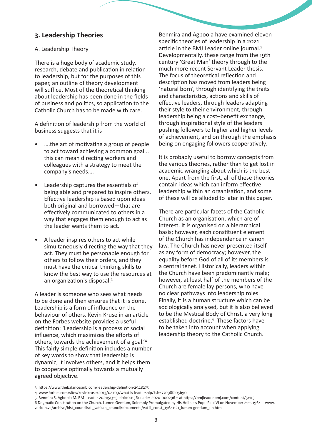#### **3. Leadership Theories**

#### A. Leadership Theory

There is a huge body of academic study, research, debate and publication in relation to leadership, but for the purposes of this paper, an outline of theory development will suffice. Most of the theoretical thinking about leadership has been done in the fields of business and politics, so application to the Catholic Church has to be made with care.

A definition of leadership from the world of business suggests that it is

- ….the art of motivating a group of people to act toward achieving a common goal... this can mean directing workers and colleagues with a strategy to meet the company's needs….
- Leadership captures the essentials of being able and prepared to inspire others. Effective leadership is based upon ideas both original and borrowed—that are effectively communicated to others in a way that engages them enough to act as the leader wants them to act.
- A leader inspires others to act while simultaneously directing the way that they act. They must be personable enough for others to follow their orders, and they must have the critical thinking skills to know the best way to use the resources at an organization's disposal.3

A leader is someone who sees what needs to be done and then ensures that it is done. Leadership is a form of influence on the behaviour of others. Kevin Kruse in an article on the Forbes website provides a useful definition: 'Leadership is a process of social influence, which maximizes the efforts of others, towards the achievement of a goal.'4 This fairly simple definition includes a number of key words to show that leadership is dynamic, it involves others, and it helps them to cooperate optimally towards a mutually agreed objective.

Benmira and Agboola have examined eleven specific theories of leadership in a 2021 article in the BMJ Leader online journal.<sup>5</sup> Developmentally, these range from the 19th century 'Great Man' theory through to the much more recent Servant Leader thesis. The focus of theoretical reflection and description has moved from leaders being 'natural born', through identifying the traits and characteristics, actions and skills of effective leaders, through leaders adapting their style to their environment, through leadership being a cost–benefit exchange, through inspirational style of the leaders pushing followers to higher and higher levels of achievement, and on through the emphasis being on engaging followers cooperatively.

It is probably useful to borrow concepts from the various theories, rather than to get lost in academic wrangling about which is the best one. Apart from the first, all of these theories contain ideas which can inform effective leadership within an organisation, and some of these will be alluded to later in this paper.

There are particular facets of the Catholic Church as an organisation, which are of interest. It is organised on a hierarchical basis; however, each constituent element of the Church has independence in canon law. The Church has never presented itself as any form of democracy; however, the equality before God of all of its members is a central tenet. Historically, leaders within the Church have been predominantly male; however, at least half of the members of the Church are female lay-persons, who have no clear pathways into leadership roles. Finally, it is a human structure which can be sociologically analysed, but it is also believed to be the Mystical Body of Christ, a very long established doctrine.<sup>6</sup> These factors have to be taken into account when applying leadership theory to the Catholic Church.

<sup>3</sup> https://www.thebalancesmb.com/leadership-definition-2948275

<sup>4</sup> www.forbes.com/sites/kevinkruse/2013/04/09/what-is-leadership/?sh=77098f205b90

<sup>5</sup> Benmira S, Agboola M. BMJ Leader 2021;5:3–5. doi:10.1136/leader-2020-000296 – at https://bmjleader.bmj.com/content/5/1/3

<sup>6</sup> Dogmatic Constitution on the Church, Lumen Gentium, Solemnly Promulgated by His Holiness Pope Paul VI on November 21st, 1964 - www. vatican.va/archive/hist\_councils/ii\_vatican\_council/documents/vat-ii\_const\_19641121\_lumen-gentium\_en.html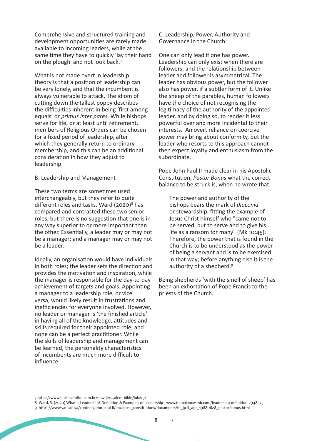Comprehensive and structured training and development opportunities are rarely made available to incoming leaders, while at the same time they have to quickly 'lay their hand on the plough' and not look back.7

What is not made overt in leadership theory is that a position of leadership can be very lonely, and that the incumbent is always vulnerable to attack. The idiom of cutting down the tallest poppy describes the difficulties inherent in being 'first among equals' or *primus inter pares*. While bishops serve for life, or at least until retirement, members of Religious Orders can be chosen for a fixed period of leadership, after which they generally return to ordinary membership, and this can be an additional consideration in how they adjust to leadership.

#### B. Leadership and Management

These two terms are sometimes used interchangeably, but they refer to quite different roles and tasks. Ward (2020)<sup>8</sup> has compared and contrasted these two senior roles, but there is no suggestion that one is in any way superior to or more important than the other. Essentially, a leader may or may not be a manager; and a manager may or may not be a leader.

Ideally, an organisation would have individuals in both roles; the leader sets the direction and provides the motivation and inspiration, while the manager is responsible for the day-to-day achievement of targets and goals. Appointing a manager to a leadership role, or vice versa, would likely result in frustrations and inefficiencies for everyone involved. However, no leader or manager is 'the finished article' in having all of the knowledge, attitudes and skills required for their appointed role, and none can be a perfect practitioner. While the skills of leadership and management can be learned, the personality characteristics of incumbents are much more difficult to influence.

C. Leadership, Power, Authority and Governance in the Church:

One can only lead if one has power. Leadership can only exist when there are followers; and the relationship between leader and follower is asymmetrical. The leader has obvious power, but the follower also has power, if a subtler form of it. Unlike the sheep of the parables, human followers have the choice of not recognising the legitimacy of the authority of the appointed leader, and by doing so, to render it less powerful over and more incidental to their interests. An overt reliance on coercive power may bring about conformity, but the leader who resorts to this approach cannot then expect loyalty and enthusiasm from the subordinate.

Pope John Paul II made clear in his Apostolic Constitution, *Pastor Bonus* what the correct balance to be struck is, when he wrote that:

The power and authority of the bishops bears the mark of *diaconia*  or stewardship, fitting the example of Jesus Christ himself who "came not to be served, but to serve and to give his life as a ransom for many" (Mk 10:45). Therefore, the power that is found in the Church is to be understood as the power of being a servant and is to be exercised in that way; before anything else it is the authority of a shepherd.<sup>9</sup>

Being shepherds 'with the smell of sheep' has been an exhortation of Pope Francis to the priests of the Church.

<sup>7</sup> https://www.bibliacatolica.com.br/new-jerusalem-bible/luke/9/

<sup>8</sup> Ward, S. (2020) What Is Leadership? Definition & Examples of Leadership - www.thebalancesmb.com/leadership-definition-2948275

<sup>9</sup> https://www.vatican.va/content/john-paul-ii/en/apost\_constitutions/documents/hf\_jp-ii\_apc\_19880628\_pastor-bonus.html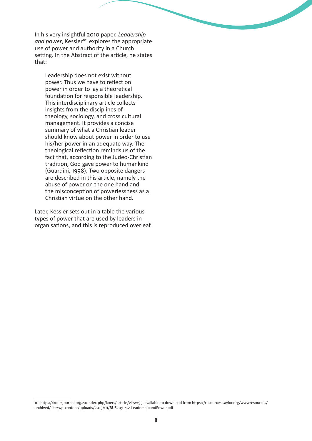In his very insightful 2010 paper, *Leadership*  and power, Kessler<sup>10</sup> explores the appropriate use of power and authority in a Church setting. In the Abstract of the article, he states that:

Leadership does not exist without power. Thus we have to reflect on power in order to lay a theoretical foundation for responsible leadership. This interdisciplinary article collects insights from the disciplines of theology, sociology, and cross cultural management. It provides a concise summary of what a Christian leader should know about power in order to use his/her power in an adequate way. The theological reflection reminds us of the fact that, according to the Judeo-Christian tradition, God gave power to humankind (Guardini, 1998). Two opposite dangers are described in this article, namely the abuse of power on the one hand and the misconception of powerlessness as a Christian virtue on the other hand.

Later, Kessler sets out in a table the various types of power that are used by leaders in organisations, and this is reproduced overleaf.

<sup>10</sup> https://koersjournal.org.za/index.php/koers/article/view/95 available to download from https://resources.saylor.org/wwwresources/ archived/site/wp-content/uploads/2013/01/BUS209-4.2-LeadershipandPower.pdf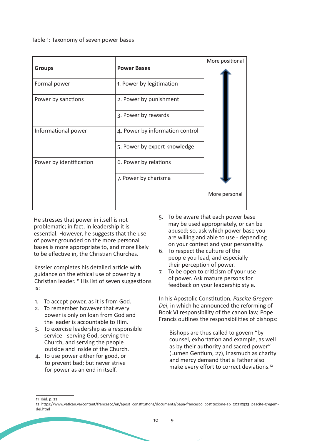Table 1: Taxonomy of seven power bases

|                         |                                 | More positional |
|-------------------------|---------------------------------|-----------------|
| <b>Groups</b>           | <b>Power Bases</b>              |                 |
| Formal power            | 1. Power by legitimation        |                 |
| Power by sanctions      | 2. Power by punishment          |                 |
|                         | 3. Power by rewards             |                 |
| Informational power     | 4. Power by information control |                 |
|                         | 5. Power by expert knowledge    |                 |
| Power by identification | 6. Power by relations           |                 |
|                         | 7. Power by charisma            |                 |
|                         |                                 | More personal   |

He stresses that power in itself is not problematic; in fact, in leadership it is essential. However, he suggests that the use of power grounded on the more personal bases is more appropriate to, and more likely to be effective in, the Christian Churches.

Kessler completes his detailed article with guidance on the ethical use of power by a Christian leader.  $<sup>n</sup>$  His list of seven suggestions</sup> is:

- 1. To accept power, as it is from God.
- 2. To remember however that every power is only on loan from God and the leader is accountable to Him.
- 3. To exercise leadership as a responsible service - serving God, serving the Church, and serving the people outside and inside of the Church.
- 4. To use power either for good, or to prevent bad; but never strive for power as an end in itself.
- 5. To be aware that each power base may be used appropriately, or can be abused; so, ask which power base you are willing and able to use - depending on your context and your personality.
- 6. To respect the culture of the people you lead, and especially their perception of power.
- 7. To be open to criticism of your use of power. Ask mature persons for feedback on your leadership style.

In his Apostolic Constitution, *Pascite Gregem Dei*, in which he announced the reforming of Book VI responsibility of the canon law, Pope Francis outlines the responsibilities of bishops:

Bishops are thus called to govern "by counsel, exhortation and example, as well as by their authority and sacred power" (Lumen Gentium, 27), inasmuch as charity and mercy demand that a Father also make every effort to correct deviations.12

11 Ibid. p. 22

<sup>12</sup> https://www.vatican.va/content/francesco/en/apost\_constitutions/documents/papa-francesco\_costituzione-ap\_20210523\_pascite-gregemdei.html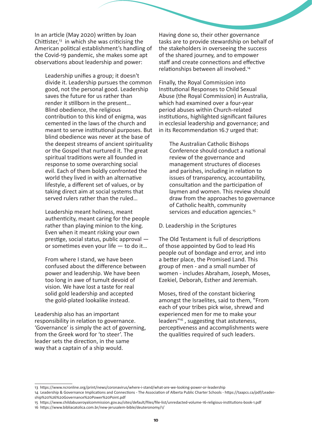In an article (May 2020) written by Joan Chittister, $13$  in which she was criticising the American political establishment's handling of the Covid-19 pandemic, she makes some apt observations about leadership and power:

Leadership unifies a group; it doesn't divide it. Leadership pursues the common good, not the personal good. Leadership saves the future for us rather than render it stillborn in the present… Blind obedience, the religious contribution to this kind of enigma, was cemented in the laws of the church and meant to serve institutional purposes. But blind obedience was never at the base of the deepest streams of ancient spirituality or the Gospel that nurtured it. The great spiritual traditions were all founded in response to some overarching social evil. Each of them boldly confronted the world they lived in with an alternative lifestyle, a different set of values, or by taking direct aim at social systems that served rulers rather than the ruled…

Leadership meant holiness, meant authenticity, meant caring for the people rather than playing minion to the king. Even when it meant risking your own prestige, social status, public approval or sometimes even your life — to do it…

From where I stand, we have been confused about the difference between power and leadership. We have been too long in awe of tumult devoid of vision. We have lost a taste for real solid gold leadership and accepted the gold-plated lookalike instead.

Leadership also has an important responsibility in relation to governance. 'Governance' is simply the act of governing, from the Greek word for 'to steer'. The leader sets the direction, in the same way that a captain of a ship would.

Having done so, their other governance tasks are to provide stewardship on behalf of the stakeholders in overseeing the success of the shared journey, and to empower staff and create connections and effective relationships between all involved.14

Finally, the Royal Commission into Institutional Responses to Child Sexual Abuse (the Royal Commission) in Australia, which had examined over a four-year period abuses within Church-related institutions, highlighted significant failures in ecclesial leadership and governance; and in its Recommendation 16.7 urged that:

The Australian Catholic Bishops Conference should conduct a national review of the governance and management structures of dioceses and parishes, including in relation to issues of transparency, accountability, consultation and the participation of laymen and women. This review should draw from the approaches to governance of Catholic health, community services and education agencies.<sup>15</sup>

#### D. Leadership in the Scriptures

The Old Testament is full of descriptions of those appointed by God to lead His people out of bondage and error, and into a better place, the Promised Land. This group of men - and a small number of women - includes Abraham, Joseph, Moses, Ezekiel, Deborah, Esther and Jeremiah.

Moses, tired of the constant bickering amongst the Israelites, said to them, "From each of your tribes pick wise, shrewd and experienced men for me to make your leaders"16 , suggesting that astuteness, perceptiveness and accomplishments were the qualities required of such leaders.

<sup>13</sup> https://www.ncronline.org/print/news/coronavirus/where-i-stand/what-are-we-looking-power-or-leadership

<sup>14</sup> Leadership & Governance Implications and Connections - The Association of Alberta Public Charter Schools - https://taapcs.ca/pdf/Leadership%20%26%20Governance%20Power%20Point.pdf

<sup>15</sup> https://www.childabuseroyalcommission.gov.au/sites/default/files/file-list/unredacted-volume-16-religious-institutions-book-1.pdf

<sup>16</sup> https://www.bibliacatolica.com.br/new-jerusalem-bible/deuteronomy/1/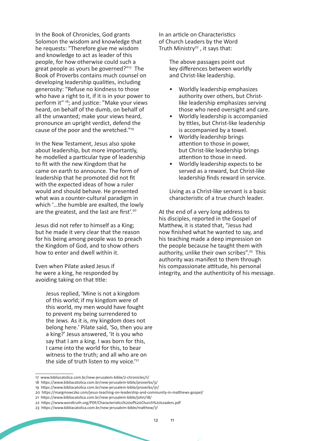In the Book of Chronicles, God grants Solomon the wisdom and knowledge that he requests: "Therefore give me wisdom and knowledge to act as leader of this people, for how otherwise could such a great people as yours be governed?"<sup>17</sup> The Book of Proverbs contains much counsel on developing leadership qualities, including generosity: "Refuse no kindness to those who have a right to it, if it is in your power to perform it" 18; and justice: "Make your views heard, on behalf of the dumb, on behalf of all the unwanted; make your views heard, pronounce an upright verdict, defend the cause of the poor and the wretched."19

In the New Testament, Jesus also spoke about leadership, but more importantly, he modelled a particular type of leadership to fit with the new Kingdom that he came on earth to announce. The form of leadership that he promoted did not fit with the expected ideas of how a ruler would and should behave. He presented what was a counter-cultural paradigm in which '…the humble are exalted, the lowly are the greatest, and the last are first'.<sup>20</sup>

Jesus did not refer to himself as a King; but he made it very clear that the reason for his being among people was to preach the Kingdom of God, and to show others how to enter and dwell within it.

Even when Pilate asked Jesus if he were a king, he responded by avoiding taking on that title:

> Jesus replied, 'Mine is not a kingdom of this world; if my kingdom were of this world, my men would have fought to prevent my being surrendered to the Jews. As it is, my kingdom does not belong here.' Pilate said, 'So, then you are a king?' Jesus answered, 'It is you who say that I am a king. I was born for this, I came into the world for this, to bear witness to the truth; and all who are on the side of truth listen to my voice.<sup>'21</sup>

In an article on Characteristics of Church Leaders by the Word Truth Ministry $22$ , it says that:

> The above passages point out key differences between worldly and Christ-like leadership.

- Worldly leadership emphasizes authority over others, but Christlike leadership emphasizes serving those who need oversight and care.
- Worldly leadership is accompanied by titles, but Christ-like leadership is accompanied by a towel.
- Worldly leadership brings attention to those in power, but Christ-like leadership brings attention to those in need.
- Worldly leadership expects to be served as a reward, but Christ-like leadership finds reward in service.

Living as a Christ-like servant is a basic characteristic of a true church leader.

At the end of a very long address to his disciples, reported in the Gospel of Matthew, it is stated that, "Jesus had now finished what he wanted to say, and his teaching made a deep impression on the people because he taught them with authority, unlike their own scribes".<sup>23</sup> This authority was manifest to them through his compassionate attitude, his personal integrity, and the authenticity of his message.

<sup>17</sup> www.bibliacatolica.com.br/new-jerusalem-bible/2-chronicles/1/

<sup>18</sup> https://www.bibliacatolica.com.br/new-jerusalem-bible/proverbs/3/

<sup>19</sup> https://www.bibliacatolica.com.br/new-jerusalem-bible/proverbs/31/

<sup>20</sup> https://margmowczko.com/jesus-teaching-on-leadership-and-community-in-matthews-gospel/

<sup>21</sup> https://www.bibliacatolica.com.br/new-jerusalem-bible/john/18/

<sup>22</sup> https://www.wordtruth.org/PDF/Characteristics%20of%20Church%20Leaders.pdf

<sup>23</sup> https://www.bibliacatolica.com.br/new-jerusalem-bible/matthew/7/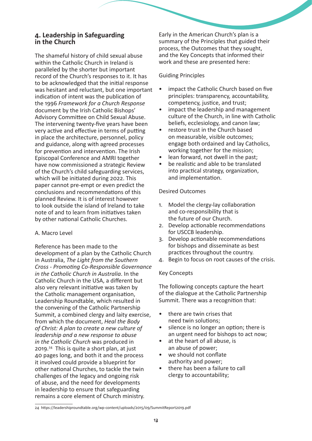#### **4. Leadership in Safeguarding in the Church**

The shameful history of child sexual abuse within the Catholic Church in Ireland is paralleled by the shorter but important record of the Church's responses to it. It has to be acknowledged that the initial response was hesitant and reluctant, but one important indication of intent was the publication of the 1996 *Framework for a Church Response* document by the Irish Catholic Bishops' Advisory Committee on Child Sexual Abuse. The intervening twenty-five years have been very active and effective in terms of putting in place the architecture, personnel, policy and guidance, along with agreed processes for prevention and intervention. The Irish Episcopal Conference and AMRI together have now commissioned a strategic Review of the Church's child safeguarding services, which will be initiated during 2022. This paper cannot pre-empt or even predict the conclusions and recommendations of this planned Review. It is of interest however to look outside the island of Ireland to take note of and to learn from initiatives taken by other national Catholic Churches.

#### A. Macro Level

Reference has been made to the development of a plan by the Catholic Church in Australia, *The Light from the Southern Cross - Promoting Co-Responsible Governance in the Catholic Church in Australia*. In the Catholic Church in the USA, a different but also very relevant initiative was taken by the Catholic management organisation, Leadership Roundtable, which resulted in the convening of the Catholic Partnership Summit, a combined clergy and laity exercise, from which the document, *Heal the Body of Christ: A plan to create a new culture of leadership and a new response to abuse in the Catholic Church* was produced in 2019.<sup>24</sup> This is quite a short plan, at just 40 pages long, and both it and the process it involved could provide a blueprint for other national Churches, to tackle the twin challenges of the legacy and ongoing risk of abuse, and the need for developments in leadership to ensure that safeguarding remains a core element of Church ministry.

Early in the American Church's plan is a summary of the Principles that guided their process, the Outcomes that they sought, and the Key Concepts that informed their work and these are presented here:

#### Guiding Principles

- impact the Catholic Church based on five principles: transparency, accountability, competency, justice, and trust;
- impact the leadership and management culture of the Church, in line with Catholic beliefs, ecclesiology, and canon law;
- restore trust in the Church based on measurable, visible outcomes; engage both ordained and lay Catholics, working together for the mission;
- lean forward, not dwell in the past:
- be realistic and able to be translated into practical strategy, organization, and implementation.

#### Desired Outcomes

- 1. Model the clergy-lay collaboration and co-responsibility that is the future of our Church.
- 2. Develop actionable recommendations for USCCB leadership.
- 3. Develop actionable recommendations for bishops and disseminate as best practices throughout the country.
- 4. Begin to focus on root causes of the crisis.

#### Key Concepts

The following concepts capture the heart of the dialogue at the Catholic Partnership Summit. There was a recognition that:

- there are twin crises that need twin solutions;
- silence is no longer an option; there is an urgent need for bishops to act now;
- at the heart of all abuse, is an abuse of power;
- we should not conflate authority and power;
- there has been a failure to call clergy to accountability;

<sup>24</sup> https://leadershiproundtable.org/wp-content/uploads/2015/09/SummitReport2019.pdf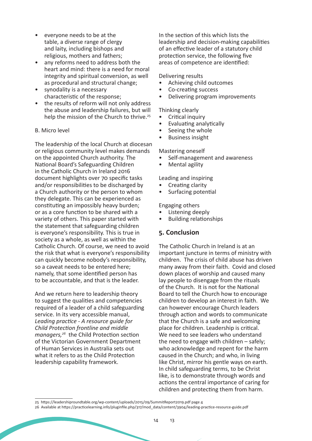- everyone needs to be at the table, a diverse range of clergy and laity, including bishops and religious, mothers and fathers;
- any reforms need to address both the heart and mind: there is a need for moral integrity and spiritual conversion, as well as procedural and structural change;
- synodality is a necessary characteristic of the response;
- the results of reform will not only address the abuse and leadership failures, but will help the mission of the Church to thrive.<sup>25</sup>

#### B. Micro level

The leadership of the local Church at diocesan or religious community level makes demands on the appointed Church authority. The National Board's Safeguarding Children in the Catholic Church in Ireland 2016 document highlights over 70 specific tasks and/or responsibilities to be discharged by a Church authority or the person to whom they delegate. This can be experienced as constituting an impossibly heavy burden; or as a core function to be shared with a variety of others. This paper started with the statement that safeguarding children is everyone's responsibility. This is true in society as a whole, as well as within the Catholic Church. Of course, we need to avoid the risk that what is everyone's responsibility can quickly become nobody's responsibility, so a caveat needs to be entered here; namely, that some identified person has to be accountable, and that is the leader.

And we return here to leadership theory to suggest the qualities and competencies required of a leader of a child safeguarding service. In its very accessible manual, *Leading practice - A resource guide for Child Protection frontline and middle managers,<sup>26</sup>* the Child Protection section of the Victorian Government Department of Human Services in Australia sets out what it refers to as the Child Protection leadership capability framework.

In the section of this which lists the leadership and decision-making capabilities of an effective leader of a statutory child protection service, the following five areas of competence are identified:

Delivering results

- Achieving child outcomes
- Co-creating success
- Delivering program improvements

Thinking clearly

- Critical inquiry
- Evaluating analytically
- Seeing the whole
- Business insight

Mastering oneself

- Self-management and awareness
- Mental agility

Leading and inspiring

- Creating clarity
- Surfacing potential

Engaging others

- Listening deeply
- Building relationships

#### **5. Conclusion**

The Catholic Church in Ireland is at an important juncture in terms of ministry with children. The crisis of child abuse has driven many away from their faith. Covid and closed down places of worship and caused many lay people to disengage from the rituals of the Church. It is not for the National Board to tell the Church how to encourage children to develop an interest in faith. We can however encourage Church leaders through action and words to communicate that the Church is a safe and welcoming place for children. Leadership is critical. We need to see leaders who understand the need to engage with children – safely; who acknowledge and repent for the harm caused in the Church; and who, in living like Christ, mirror his gentle ways on earth. In child safeguarding terms, to be Christ like, is to demonstrate through words and actions the central importance of caring for children and protecting them from harm.

<sup>25</sup> https://leadershiproundtable.org/wp-content/uploads/2015/09/SummitReport2019.pdf page 4

<sup>26</sup> Available at https://practicelearning.info/pluginfile.php/317/mod\_data/content/3904/leading-practice-resource-guide.pdf